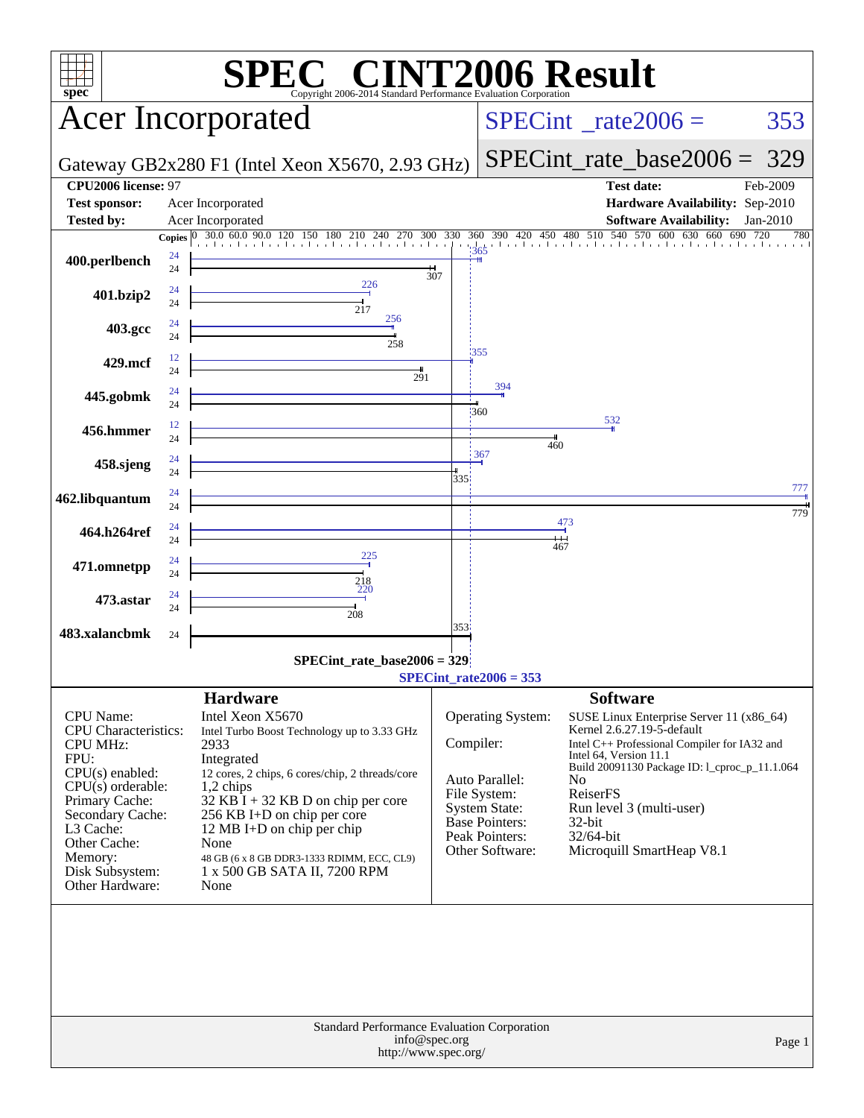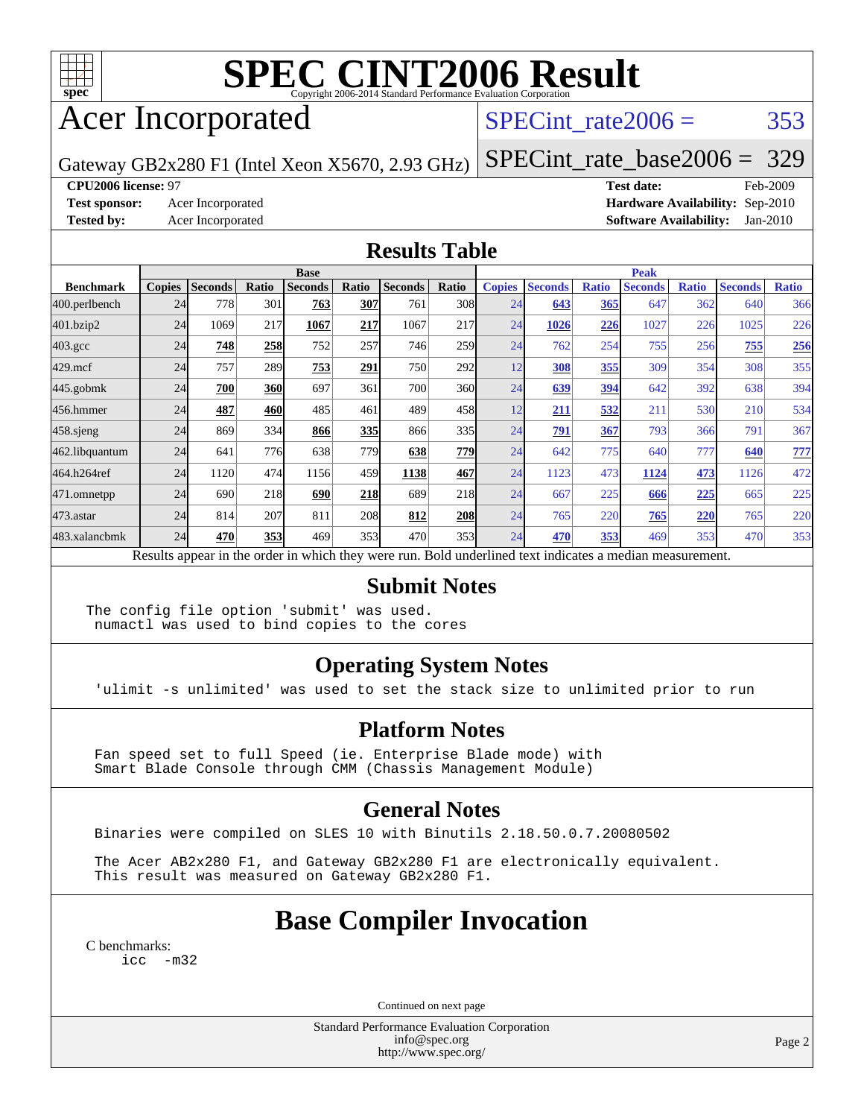

# **[SPEC CINT2006 Result](http://www.spec.org/auto/cpu2006/Docs/result-fields.html#SPECCINT2006Result)**

## Acer Incorporated

#### SPECint rate $2006 = 353$

Gateway GB2x280 F1 (Intel Xeon X5670, 2.93 GHz)

[SPECint\\_rate\\_base2006 =](http://www.spec.org/auto/cpu2006/Docs/result-fields.html#SPECintratebase2006) 329

#### **[CPU2006 license:](http://www.spec.org/auto/cpu2006/Docs/result-fields.html#CPU2006license)** 97 **[Test date:](http://www.spec.org/auto/cpu2006/Docs/result-fields.html#Testdate)** Feb-2009

**[Test sponsor:](http://www.spec.org/auto/cpu2006/Docs/result-fields.html#Testsponsor)** Acer Incorporated **[Hardware Availability:](http://www.spec.org/auto/cpu2006/Docs/result-fields.html#HardwareAvailability)** Sep-2010 **[Tested by:](http://www.spec.org/auto/cpu2006/Docs/result-fields.html#Testedby)** Acer Incorporated **[Software Availability:](http://www.spec.org/auto/cpu2006/Docs/result-fields.html#SoftwareAvailability)** Jan-2010

#### **[Results Table](http://www.spec.org/auto/cpu2006/Docs/result-fields.html#ResultsTable)**

|                    | <b>Base</b>                                                                                              |                |       |                |       |                |       |               | <b>Peak</b>    |              |                |              |                |              |  |
|--------------------|----------------------------------------------------------------------------------------------------------|----------------|-------|----------------|-------|----------------|-------|---------------|----------------|--------------|----------------|--------------|----------------|--------------|--|
| <b>Benchmark</b>   | <b>Copies</b>                                                                                            | <b>Seconds</b> | Ratio | <b>Seconds</b> | Ratio | <b>Seconds</b> | Ratio | <b>Copies</b> | <b>Seconds</b> | <b>Ratio</b> | <b>Seconds</b> | <b>Ratio</b> | <b>Seconds</b> | <b>Ratio</b> |  |
| 400.perlbench      | 24                                                                                                       | 778            | 301   | 763            | 307   | 761            | 308   | 24            | 643            | 365          | 647            | 362          | 640            | 366          |  |
| 401.bzip2          | 24                                                                                                       | 1069           | 217   | 1067           | 217   | 1067           | 217   | 24            | 1026           | 226          | 1027           | 226          | 1025           | 226          |  |
| $403.\mathrm{gcc}$ | 24                                                                                                       | 748            | 258   | 752            | 257   | 746            | 259   | 24            | 762            | 254          | 755            | 256          | 755            | 256          |  |
| $429$ .mcf         | 24                                                                                                       | 757            | 289   | 753            | 291   | 750            | 292   | 12            | 308            | 355          | 309            | 354          | 308            | 355          |  |
| $445$ .gobmk       | 24                                                                                                       | 700            | 360   | 697            | 361   | 700            | 360l  | 24            | 639            | 394          | 642            | 392          | 638            | 394          |  |
| 456.hmmer          | 24                                                                                                       | 487            | 460   | 485            | 461   | 489            | 458   | 12            | 211            | 532          | 211            | 530          | 210            | 534          |  |
| $458$ .sjeng       | 24                                                                                                       | 869            | 334   | 866            | 335   | 866            | 335   | 24            | 791            | 367          | 793            | 366          | 791            | 367          |  |
| 462.libquantum     | 24                                                                                                       | 641            | 776   | 638            | 779   | 638            | 779   | 24            | 642            | 775          | 640            | 777          | 640            | 777          |  |
| 464.h264ref        | 24                                                                                                       | 1120           | 474   | 1156           | 459   | 1138           | 467   | 24            | 1123           | 473          | 1124           | 473          | 1126           | 472          |  |
| 471.omnetpp        | 24                                                                                                       | 690            | 218   | 690            | 218   | 689            | 218   | 24            | 667            | 225          | 666            | 225          | 665            | 225          |  |
| $473$ . astar      | 24                                                                                                       | 814            | 207   | 811            | 208   | 812            | 208   | 24            | 765            | 220          | 765            | 220          | 765            | 220          |  |
| 483.xalancbmk      | 24                                                                                                       | 470            | 353   | 469            | 353   | 470            | 353   | 24            | 470            | 353          | 469            | 353          | 470            | 353          |  |
|                    | Results appear in the order in which they were run. Bold underlined text indicates a median measurement. |                |       |                |       |                |       |               |                |              |                |              |                |              |  |

#### **[Submit Notes](http://www.spec.org/auto/cpu2006/Docs/result-fields.html#SubmitNotes)**

The config file option 'submit' was used. numactl was used to bind copies to the cores

#### **[Operating System Notes](http://www.spec.org/auto/cpu2006/Docs/result-fields.html#OperatingSystemNotes)**

'ulimit -s unlimited' was used to set the stack size to unlimited prior to run

#### **[Platform Notes](http://www.spec.org/auto/cpu2006/Docs/result-fields.html#PlatformNotes)**

 Fan speed set to full Speed (ie. Enterprise Blade mode) with Smart Blade Console through CMM (Chassis Management Module)

#### **[General Notes](http://www.spec.org/auto/cpu2006/Docs/result-fields.html#GeneralNotes)**

Binaries were compiled on SLES 10 with Binutils 2.18.50.0.7.20080502

 The Acer AB2x280 F1, and Gateway GB2x280 F1 are electronically equivalent. This result was measured on Gateway GB2x280 F1.

## **[Base Compiler Invocation](http://www.spec.org/auto/cpu2006/Docs/result-fields.html#BaseCompilerInvocation)**

[C benchmarks](http://www.spec.org/auto/cpu2006/Docs/result-fields.html#Cbenchmarks): [icc -m32](http://www.spec.org/cpu2006/results/res2010q3/cpu2006-20100715-12381.flags.html#user_CCbase_intel_icc_32bit_5ff4a39e364c98233615fdd38438c6f2)

Continued on next page

Standard Performance Evaluation Corporation [info@spec.org](mailto:info@spec.org) <http://www.spec.org/>

Page 2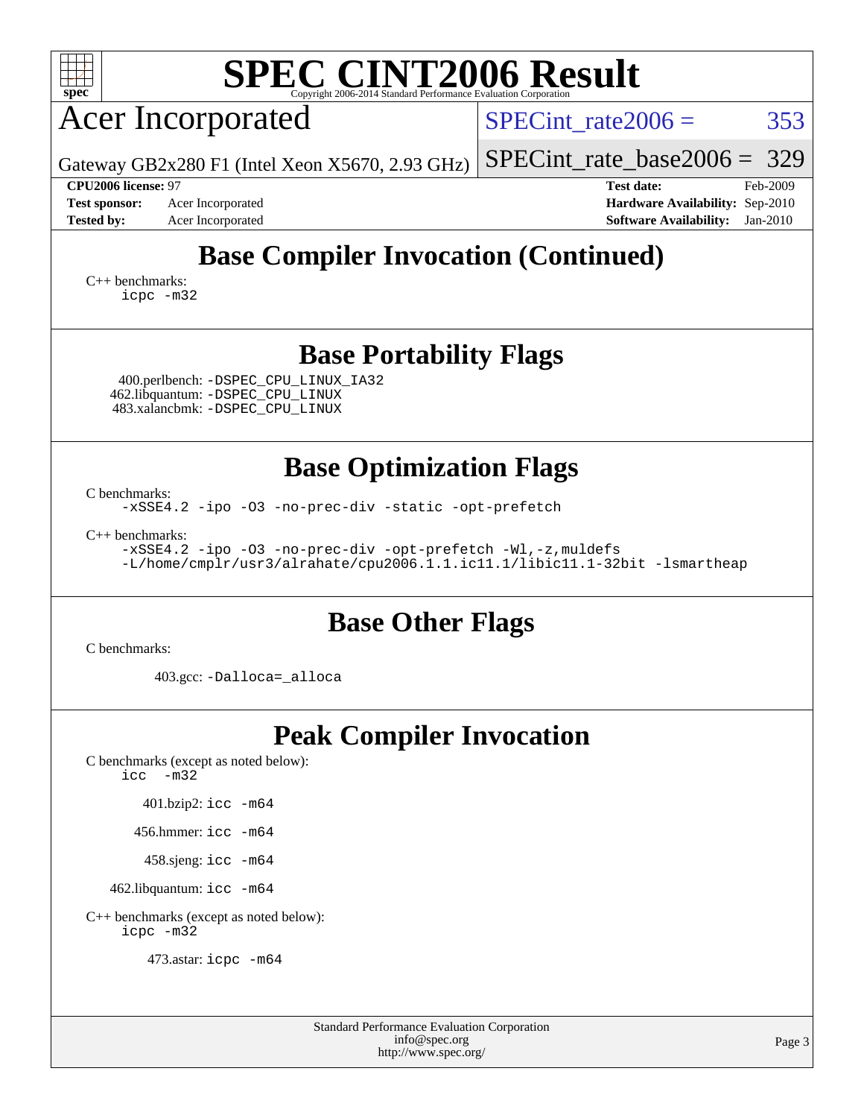| <b>SPEC CINT2006 Result</b><br>$spec^*$<br>Copyright 2006-2014 Standard Performance Evaluation Corporation                                                         |                                                                                                                 |  |  |  |  |  |  |  |
|--------------------------------------------------------------------------------------------------------------------------------------------------------------------|-----------------------------------------------------------------------------------------------------------------|--|--|--|--|--|--|--|
| <b>Acer Incorporated</b>                                                                                                                                           | 353<br>$SPECint rate 2006 =$                                                                                    |  |  |  |  |  |  |  |
| Gateway GB2x280 F1 (Intel Xeon X5670, 2.93 GHz)                                                                                                                    | 329<br>$SPECint_rate_base2006 =$                                                                                |  |  |  |  |  |  |  |
| CPU2006 license: 97<br>Acer Incorporated<br><b>Test sponsor:</b><br><b>Tested by:</b><br>Acer Incorporated                                                         | Feb-2009<br><b>Test date:</b><br>Hardware Availability: Sep-2010<br><b>Software Availability:</b><br>$Jan-2010$ |  |  |  |  |  |  |  |
| <b>Base Compiler Invocation (Continued)</b><br>$C_{++}$ benchmarks:<br>icpc -m32                                                                                   |                                                                                                                 |  |  |  |  |  |  |  |
| <b>Base Portability Flags</b>                                                                                                                                      |                                                                                                                 |  |  |  |  |  |  |  |
| 400.perlbench: -DSPEC_CPU_LINUX_IA32<br>462.libquantum: - DSPEC_CPU_LINUX<br>483.xalancbmk: - DSPEC CPU LINUX                                                      |                                                                                                                 |  |  |  |  |  |  |  |
| <b>Base Optimization Flags</b>                                                                                                                                     |                                                                                                                 |  |  |  |  |  |  |  |
| C benchmarks:<br>-xSSE4.2 -ipo -03 -no-prec-div -static -opt-prefetch                                                                                              |                                                                                                                 |  |  |  |  |  |  |  |
| $C_{++}$ benchmarks:<br>-xSSE4.2 -ipo -03 -no-prec-div -opt-prefetch -Wl,-z, muldefs<br>-L/home/cmplr/usr3/alrahate/cpu2006.1.1.ic11.1/libic11.1-32bit -lsmartheap |                                                                                                                 |  |  |  |  |  |  |  |
| <b>Base Other Flags</b>                                                                                                                                            |                                                                                                                 |  |  |  |  |  |  |  |
| C benchmarks:                                                                                                                                                      |                                                                                                                 |  |  |  |  |  |  |  |
| 403.gcc: -Dalloca=_alloca                                                                                                                                          |                                                                                                                 |  |  |  |  |  |  |  |
| <b>Peak Compiler Invocation</b><br>C benchmarks (except as noted below):                                                                                           |                                                                                                                 |  |  |  |  |  |  |  |
| $\text{icc}$ $-\text{m32}$                                                                                                                                         |                                                                                                                 |  |  |  |  |  |  |  |
| 401.bzip2: icc -m64                                                                                                                                                |                                                                                                                 |  |  |  |  |  |  |  |
| 456.hmmer: $\text{icc}$ -m64                                                                                                                                       |                                                                                                                 |  |  |  |  |  |  |  |
| 458.sjeng: icc -m64<br>462.libquantum: icc -m64                                                                                                                    |                                                                                                                 |  |  |  |  |  |  |  |
| C++ benchmarks (except as noted below):<br>icpc -m32                                                                                                               |                                                                                                                 |  |  |  |  |  |  |  |
| 473.astar: icpc -m64                                                                                                                                               |                                                                                                                 |  |  |  |  |  |  |  |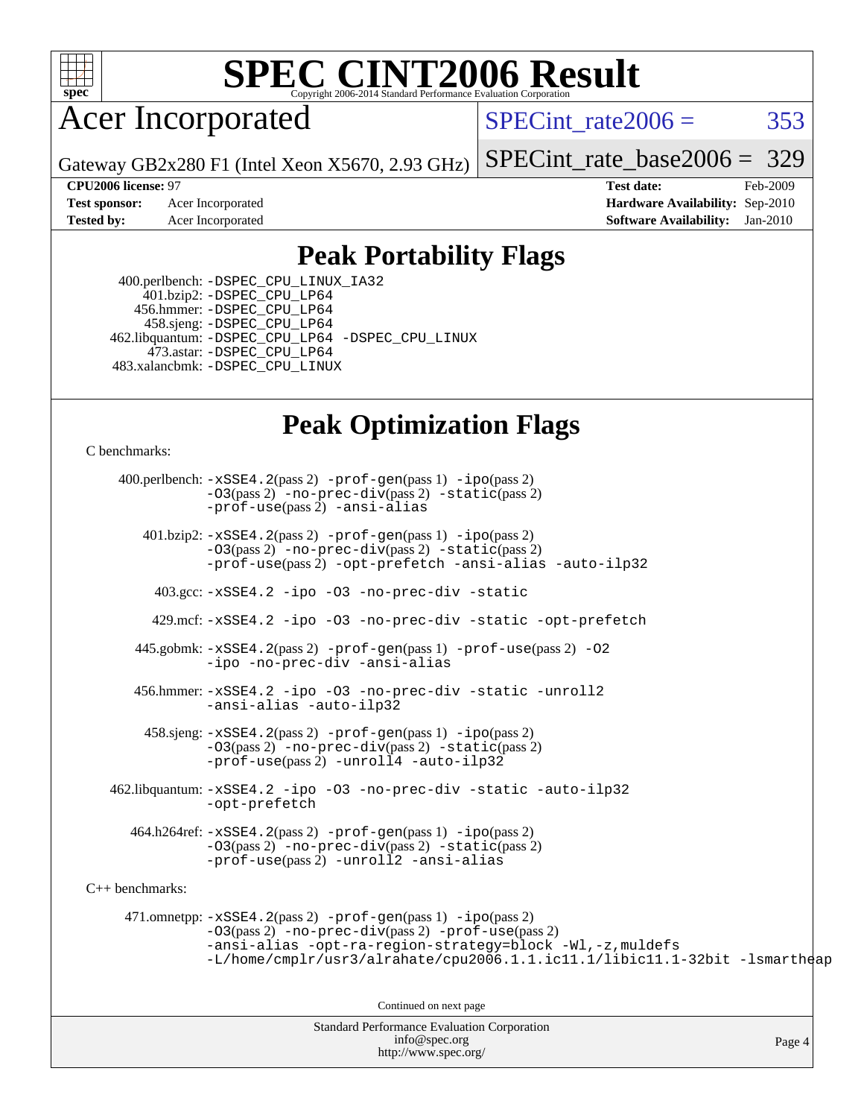

## **[SPEC CINT2006 Result](http://www.spec.org/auto/cpu2006/Docs/result-fields.html#SPECCINT2006Result)**

### Acer Incorporated

SPECint rate $2006 = 353$ 

Gateway GB2x280 F1 (Intel Xeon X5670, 2.93 GHz)

[SPECint\\_rate\\_base2006 =](http://www.spec.org/auto/cpu2006/Docs/result-fields.html#SPECintratebase2006) 329

**[CPU2006 license:](http://www.spec.org/auto/cpu2006/Docs/result-fields.html#CPU2006license)** 97 **[Test date:](http://www.spec.org/auto/cpu2006/Docs/result-fields.html#Testdate)** Feb-2009 **[Test sponsor:](http://www.spec.org/auto/cpu2006/Docs/result-fields.html#Testsponsor)** Acer Incorporated **[Hardware Availability:](http://www.spec.org/auto/cpu2006/Docs/result-fields.html#HardwareAvailability)** Sep-2010 **[Tested by:](http://www.spec.org/auto/cpu2006/Docs/result-fields.html#Testedby)** Acer Incorporated **[Software Availability:](http://www.spec.org/auto/cpu2006/Docs/result-fields.html#SoftwareAvailability)** Jan-2010

#### **[Peak Portability Flags](http://www.spec.org/auto/cpu2006/Docs/result-fields.html#PeakPortabilityFlags)**

 400.perlbench: [-DSPEC\\_CPU\\_LINUX\\_IA32](http://www.spec.org/cpu2006/results/res2010q3/cpu2006-20100715-12381.flags.html#b400.perlbench_peakCPORTABILITY_DSPEC_CPU_LINUX_IA32) 401.bzip2: [-DSPEC\\_CPU\\_LP64](http://www.spec.org/cpu2006/results/res2010q3/cpu2006-20100715-12381.flags.html#suite_peakCPORTABILITY401_bzip2_DSPEC_CPU_LP64) 456.hmmer: [-DSPEC\\_CPU\\_LP64](http://www.spec.org/cpu2006/results/res2010q3/cpu2006-20100715-12381.flags.html#suite_peakCPORTABILITY456_hmmer_DSPEC_CPU_LP64) 458.sjeng: [-DSPEC\\_CPU\\_LP64](http://www.spec.org/cpu2006/results/res2010q3/cpu2006-20100715-12381.flags.html#suite_peakCPORTABILITY458_sjeng_DSPEC_CPU_LP64) 462.libquantum: [-DSPEC\\_CPU\\_LP64](http://www.spec.org/cpu2006/results/res2010q3/cpu2006-20100715-12381.flags.html#suite_peakCPORTABILITY462_libquantum_DSPEC_CPU_LP64) [-DSPEC\\_CPU\\_LINUX](http://www.spec.org/cpu2006/results/res2010q3/cpu2006-20100715-12381.flags.html#b462.libquantum_peakCPORTABILITY_DSPEC_CPU_LINUX) 473.astar: [-DSPEC\\_CPU\\_LP64](http://www.spec.org/cpu2006/results/res2010q3/cpu2006-20100715-12381.flags.html#suite_peakCXXPORTABILITY473_astar_DSPEC_CPU_LP64) 483.xalancbmk: [-DSPEC\\_CPU\\_LINUX](http://www.spec.org/cpu2006/results/res2010q3/cpu2006-20100715-12381.flags.html#b483.xalancbmk_peakCXXPORTABILITY_DSPEC_CPU_LINUX)

### **[Peak Optimization Flags](http://www.spec.org/auto/cpu2006/Docs/result-fields.html#PeakOptimizationFlags)**

[C benchmarks](http://www.spec.org/auto/cpu2006/Docs/result-fields.html#Cbenchmarks):

Standard Performance Evaluation Corporation 400.perlbench: [-xSSE4.2](http://www.spec.org/cpu2006/results/res2010q3/cpu2006-20100715-12381.flags.html#user_peakPASS2_CFLAGSPASS2_LDCFLAGS400_perlbench_f-xSSE42_f91528193cf0b216347adb8b939d4107)(pass 2) [-prof-gen](http://www.spec.org/cpu2006/results/res2010q3/cpu2006-20100715-12381.flags.html#user_peakPASS1_CFLAGSPASS1_LDCFLAGS400_perlbench_prof_gen_e43856698f6ca7b7e442dfd80e94a8fc)(pass 1) [-ipo](http://www.spec.org/cpu2006/results/res2010q3/cpu2006-20100715-12381.flags.html#user_peakPASS2_CFLAGSPASS2_LDCFLAGS400_perlbench_f-ipo)(pass 2) [-O3](http://www.spec.org/cpu2006/results/res2010q3/cpu2006-20100715-12381.flags.html#user_peakPASS2_CFLAGSPASS2_LDCFLAGS400_perlbench_f-O3)(pass 2) [-no-prec-div](http://www.spec.org/cpu2006/results/res2010q3/cpu2006-20100715-12381.flags.html#user_peakPASS2_CFLAGSPASS2_LDCFLAGS400_perlbench_f-no-prec-div)(pass 2) [-static](http://www.spec.org/cpu2006/results/res2010q3/cpu2006-20100715-12381.flags.html#user_peakPASS2_CFLAGSPASS2_LDCFLAGS400_perlbench_f-static)(pass 2) [-prof-use](http://www.spec.org/cpu2006/results/res2010q3/cpu2006-20100715-12381.flags.html#user_peakPASS2_CFLAGSPASS2_LDCFLAGS400_perlbench_prof_use_bccf7792157ff70d64e32fe3e1250b55)(pass 2) [-ansi-alias](http://www.spec.org/cpu2006/results/res2010q3/cpu2006-20100715-12381.flags.html#user_peakCOPTIMIZE400_perlbench_f-ansi-alias) 401.bzip2: [-xSSE4.2](http://www.spec.org/cpu2006/results/res2010q3/cpu2006-20100715-12381.flags.html#user_peakPASS2_CFLAGSPASS2_LDCFLAGS401_bzip2_f-xSSE42_f91528193cf0b216347adb8b939d4107)(pass 2) [-prof-gen](http://www.spec.org/cpu2006/results/res2010q3/cpu2006-20100715-12381.flags.html#user_peakPASS1_CFLAGSPASS1_LDCFLAGS401_bzip2_prof_gen_e43856698f6ca7b7e442dfd80e94a8fc)(pass 1) [-ipo](http://www.spec.org/cpu2006/results/res2010q3/cpu2006-20100715-12381.flags.html#user_peakPASS2_CFLAGSPASS2_LDCFLAGS401_bzip2_f-ipo)(pass 2) [-O3](http://www.spec.org/cpu2006/results/res2010q3/cpu2006-20100715-12381.flags.html#user_peakPASS2_CFLAGSPASS2_LDCFLAGS401_bzip2_f-O3)(pass 2) [-no-prec-div](http://www.spec.org/cpu2006/results/res2010q3/cpu2006-20100715-12381.flags.html#user_peakPASS2_CFLAGSPASS2_LDCFLAGS401_bzip2_f-no-prec-div)(pass 2) [-static](http://www.spec.org/cpu2006/results/res2010q3/cpu2006-20100715-12381.flags.html#user_peakPASS2_CFLAGSPASS2_LDCFLAGS401_bzip2_f-static)(pass 2) [-prof-use](http://www.spec.org/cpu2006/results/res2010q3/cpu2006-20100715-12381.flags.html#user_peakPASS2_CFLAGSPASS2_LDCFLAGS401_bzip2_prof_use_bccf7792157ff70d64e32fe3e1250b55)(pass 2) [-opt-prefetch](http://www.spec.org/cpu2006/results/res2010q3/cpu2006-20100715-12381.flags.html#user_peakCOPTIMIZE401_bzip2_f-opt-prefetch) [-ansi-alias](http://www.spec.org/cpu2006/results/res2010q3/cpu2006-20100715-12381.flags.html#user_peakCOPTIMIZE401_bzip2_f-ansi-alias) [-auto-ilp32](http://www.spec.org/cpu2006/results/res2010q3/cpu2006-20100715-12381.flags.html#user_peakCOPTIMIZE401_bzip2_f-auto-ilp32) 403.gcc: [-xSSE4.2](http://www.spec.org/cpu2006/results/res2010q3/cpu2006-20100715-12381.flags.html#user_peakCOPTIMIZE403_gcc_f-xSSE42_f91528193cf0b216347adb8b939d4107) [-ipo](http://www.spec.org/cpu2006/results/res2010q3/cpu2006-20100715-12381.flags.html#user_peakCOPTIMIZE403_gcc_f-ipo) [-O3](http://www.spec.org/cpu2006/results/res2010q3/cpu2006-20100715-12381.flags.html#user_peakCOPTIMIZE403_gcc_f-O3) [-no-prec-div](http://www.spec.org/cpu2006/results/res2010q3/cpu2006-20100715-12381.flags.html#user_peakCOPTIMIZE403_gcc_f-no-prec-div) [-static](http://www.spec.org/cpu2006/results/res2010q3/cpu2006-20100715-12381.flags.html#user_peakCOPTIMIZE403_gcc_f-static) 429.mcf: [-xSSE4.2](http://www.spec.org/cpu2006/results/res2010q3/cpu2006-20100715-12381.flags.html#user_peakCOPTIMIZE429_mcf_f-xSSE42_f91528193cf0b216347adb8b939d4107) [-ipo](http://www.spec.org/cpu2006/results/res2010q3/cpu2006-20100715-12381.flags.html#user_peakCOPTIMIZE429_mcf_f-ipo) [-O3](http://www.spec.org/cpu2006/results/res2010q3/cpu2006-20100715-12381.flags.html#user_peakCOPTIMIZE429_mcf_f-O3) [-no-prec-div](http://www.spec.org/cpu2006/results/res2010q3/cpu2006-20100715-12381.flags.html#user_peakCOPTIMIZE429_mcf_f-no-prec-div) [-static](http://www.spec.org/cpu2006/results/res2010q3/cpu2006-20100715-12381.flags.html#user_peakCOPTIMIZE429_mcf_f-static) [-opt-prefetch](http://www.spec.org/cpu2006/results/res2010q3/cpu2006-20100715-12381.flags.html#user_peakCOPTIMIZE429_mcf_f-opt-prefetch) 445.gobmk: [-xSSE4.2](http://www.spec.org/cpu2006/results/res2010q3/cpu2006-20100715-12381.flags.html#user_peakPASS2_CFLAGSPASS2_LDCFLAGS445_gobmk_f-xSSE42_f91528193cf0b216347adb8b939d4107)(pass 2) [-prof-gen](http://www.spec.org/cpu2006/results/res2010q3/cpu2006-20100715-12381.flags.html#user_peakPASS1_CFLAGSPASS1_LDCFLAGS445_gobmk_prof_gen_e43856698f6ca7b7e442dfd80e94a8fc)(pass 1) [-prof-use](http://www.spec.org/cpu2006/results/res2010q3/cpu2006-20100715-12381.flags.html#user_peakPASS2_CFLAGSPASS2_LDCFLAGS445_gobmk_prof_use_bccf7792157ff70d64e32fe3e1250b55)(pass 2) [-O2](http://www.spec.org/cpu2006/results/res2010q3/cpu2006-20100715-12381.flags.html#user_peakCOPTIMIZE445_gobmk_f-O2) [-ipo](http://www.spec.org/cpu2006/results/res2010q3/cpu2006-20100715-12381.flags.html#user_peakCOPTIMIZE445_gobmk_f-ipo) [-no-prec-div](http://www.spec.org/cpu2006/results/res2010q3/cpu2006-20100715-12381.flags.html#user_peakCOPTIMIZE445_gobmk_f-no-prec-div) [-ansi-alias](http://www.spec.org/cpu2006/results/res2010q3/cpu2006-20100715-12381.flags.html#user_peakCOPTIMIZE445_gobmk_f-ansi-alias) 456.hmmer: [-xSSE4.2](http://www.spec.org/cpu2006/results/res2010q3/cpu2006-20100715-12381.flags.html#user_peakCOPTIMIZE456_hmmer_f-xSSE42_f91528193cf0b216347adb8b939d4107) [-ipo](http://www.spec.org/cpu2006/results/res2010q3/cpu2006-20100715-12381.flags.html#user_peakCOPTIMIZE456_hmmer_f-ipo) [-O3](http://www.spec.org/cpu2006/results/res2010q3/cpu2006-20100715-12381.flags.html#user_peakCOPTIMIZE456_hmmer_f-O3) [-no-prec-div](http://www.spec.org/cpu2006/results/res2010q3/cpu2006-20100715-12381.flags.html#user_peakCOPTIMIZE456_hmmer_f-no-prec-div) [-static](http://www.spec.org/cpu2006/results/res2010q3/cpu2006-20100715-12381.flags.html#user_peakCOPTIMIZE456_hmmer_f-static) [-unroll2](http://www.spec.org/cpu2006/results/res2010q3/cpu2006-20100715-12381.flags.html#user_peakCOPTIMIZE456_hmmer_f-unroll_784dae83bebfb236979b41d2422d7ec2) [-ansi-alias](http://www.spec.org/cpu2006/results/res2010q3/cpu2006-20100715-12381.flags.html#user_peakCOPTIMIZE456_hmmer_f-ansi-alias) [-auto-ilp32](http://www.spec.org/cpu2006/results/res2010q3/cpu2006-20100715-12381.flags.html#user_peakCOPTIMIZE456_hmmer_f-auto-ilp32) 458.sjeng: [-xSSE4.2](http://www.spec.org/cpu2006/results/res2010q3/cpu2006-20100715-12381.flags.html#user_peakPASS2_CFLAGSPASS2_LDCFLAGS458_sjeng_f-xSSE42_f91528193cf0b216347adb8b939d4107)(pass 2) [-prof-gen](http://www.spec.org/cpu2006/results/res2010q3/cpu2006-20100715-12381.flags.html#user_peakPASS1_CFLAGSPASS1_LDCFLAGS458_sjeng_prof_gen_e43856698f6ca7b7e442dfd80e94a8fc)(pass 1) [-ipo](http://www.spec.org/cpu2006/results/res2010q3/cpu2006-20100715-12381.flags.html#user_peakPASS2_CFLAGSPASS2_LDCFLAGS458_sjeng_f-ipo)(pass 2) [-O3](http://www.spec.org/cpu2006/results/res2010q3/cpu2006-20100715-12381.flags.html#user_peakPASS2_CFLAGSPASS2_LDCFLAGS458_sjeng_f-O3)(pass 2) [-no-prec-div](http://www.spec.org/cpu2006/results/res2010q3/cpu2006-20100715-12381.flags.html#user_peakPASS2_CFLAGSPASS2_LDCFLAGS458_sjeng_f-no-prec-div)(pass 2) [-static](http://www.spec.org/cpu2006/results/res2010q3/cpu2006-20100715-12381.flags.html#user_peakPASS2_CFLAGSPASS2_LDCFLAGS458_sjeng_f-static)(pass 2) [-prof-use](http://www.spec.org/cpu2006/results/res2010q3/cpu2006-20100715-12381.flags.html#user_peakPASS2_CFLAGSPASS2_LDCFLAGS458_sjeng_prof_use_bccf7792157ff70d64e32fe3e1250b55)(pass 2) [-unroll4](http://www.spec.org/cpu2006/results/res2010q3/cpu2006-20100715-12381.flags.html#user_peakCOPTIMIZE458_sjeng_f-unroll_4e5e4ed65b7fd20bdcd365bec371b81f) [-auto-ilp32](http://www.spec.org/cpu2006/results/res2010q3/cpu2006-20100715-12381.flags.html#user_peakCOPTIMIZE458_sjeng_f-auto-ilp32) 462.libquantum: [-xSSE4.2](http://www.spec.org/cpu2006/results/res2010q3/cpu2006-20100715-12381.flags.html#user_peakCOPTIMIZE462_libquantum_f-xSSE42_f91528193cf0b216347adb8b939d4107) [-ipo](http://www.spec.org/cpu2006/results/res2010q3/cpu2006-20100715-12381.flags.html#user_peakCOPTIMIZE462_libquantum_f-ipo) [-O3](http://www.spec.org/cpu2006/results/res2010q3/cpu2006-20100715-12381.flags.html#user_peakCOPTIMIZE462_libquantum_f-O3) [-no-prec-div](http://www.spec.org/cpu2006/results/res2010q3/cpu2006-20100715-12381.flags.html#user_peakCOPTIMIZE462_libquantum_f-no-prec-div) [-static](http://www.spec.org/cpu2006/results/res2010q3/cpu2006-20100715-12381.flags.html#user_peakCOPTIMIZE462_libquantum_f-static) [-auto-ilp32](http://www.spec.org/cpu2006/results/res2010q3/cpu2006-20100715-12381.flags.html#user_peakCOPTIMIZE462_libquantum_f-auto-ilp32) [-opt-prefetch](http://www.spec.org/cpu2006/results/res2010q3/cpu2006-20100715-12381.flags.html#user_peakCOPTIMIZE462_libquantum_f-opt-prefetch) 464.h264ref: [-xSSE4.2](http://www.spec.org/cpu2006/results/res2010q3/cpu2006-20100715-12381.flags.html#user_peakPASS2_CFLAGSPASS2_LDCFLAGS464_h264ref_f-xSSE42_f91528193cf0b216347adb8b939d4107)(pass 2) [-prof-gen](http://www.spec.org/cpu2006/results/res2010q3/cpu2006-20100715-12381.flags.html#user_peakPASS1_CFLAGSPASS1_LDCFLAGS464_h264ref_prof_gen_e43856698f6ca7b7e442dfd80e94a8fc)(pass 1) [-ipo](http://www.spec.org/cpu2006/results/res2010q3/cpu2006-20100715-12381.flags.html#user_peakPASS2_CFLAGSPASS2_LDCFLAGS464_h264ref_f-ipo)(pass 2) [-O3](http://www.spec.org/cpu2006/results/res2010q3/cpu2006-20100715-12381.flags.html#user_peakPASS2_CFLAGSPASS2_LDCFLAGS464_h264ref_f-O3)(pass 2) [-no-prec-div](http://www.spec.org/cpu2006/results/res2010q3/cpu2006-20100715-12381.flags.html#user_peakPASS2_CFLAGSPASS2_LDCFLAGS464_h264ref_f-no-prec-div)(pass 2) [-static](http://www.spec.org/cpu2006/results/res2010q3/cpu2006-20100715-12381.flags.html#user_peakPASS2_CFLAGSPASS2_LDCFLAGS464_h264ref_f-static)(pass 2) [-prof-use](http://www.spec.org/cpu2006/results/res2010q3/cpu2006-20100715-12381.flags.html#user_peakPASS2_CFLAGSPASS2_LDCFLAGS464_h264ref_prof_use_bccf7792157ff70d64e32fe3e1250b55)(pass 2) [-unroll2](http://www.spec.org/cpu2006/results/res2010q3/cpu2006-20100715-12381.flags.html#user_peakCOPTIMIZE464_h264ref_f-unroll_784dae83bebfb236979b41d2422d7ec2) [-ansi-alias](http://www.spec.org/cpu2006/results/res2010q3/cpu2006-20100715-12381.flags.html#user_peakCOPTIMIZE464_h264ref_f-ansi-alias) [C++ benchmarks:](http://www.spec.org/auto/cpu2006/Docs/result-fields.html#CXXbenchmarks) 471.omnetpp: [-xSSE4.2](http://www.spec.org/cpu2006/results/res2010q3/cpu2006-20100715-12381.flags.html#user_peakPASS2_CXXFLAGSPASS2_LDCXXFLAGS471_omnetpp_f-xSSE42_f91528193cf0b216347adb8b939d4107)(pass 2) [-prof-gen](http://www.spec.org/cpu2006/results/res2010q3/cpu2006-20100715-12381.flags.html#user_peakPASS1_CXXFLAGSPASS1_LDCXXFLAGS471_omnetpp_prof_gen_e43856698f6ca7b7e442dfd80e94a8fc)(pass 1) [-ipo](http://www.spec.org/cpu2006/results/res2010q3/cpu2006-20100715-12381.flags.html#user_peakPASS2_CXXFLAGSPASS2_LDCXXFLAGS471_omnetpp_f-ipo)(pass 2) [-O3](http://www.spec.org/cpu2006/results/res2010q3/cpu2006-20100715-12381.flags.html#user_peakPASS2_CXXFLAGSPASS2_LDCXXFLAGS471_omnetpp_f-O3)(pass 2) [-no-prec-div](http://www.spec.org/cpu2006/results/res2010q3/cpu2006-20100715-12381.flags.html#user_peakPASS2_CXXFLAGSPASS2_LDCXXFLAGS471_omnetpp_f-no-prec-div)(pass 2) [-prof-use](http://www.spec.org/cpu2006/results/res2010q3/cpu2006-20100715-12381.flags.html#user_peakPASS2_CXXFLAGSPASS2_LDCXXFLAGS471_omnetpp_prof_use_bccf7792157ff70d64e32fe3e1250b55)(pass 2) [-ansi-alias](http://www.spec.org/cpu2006/results/res2010q3/cpu2006-20100715-12381.flags.html#user_peakCXXOPTIMIZE471_omnetpp_f-ansi-alias) [-opt-ra-region-strategy=block](http://www.spec.org/cpu2006/results/res2010q3/cpu2006-20100715-12381.flags.html#user_peakCXXOPTIMIZE471_omnetpp_f-opt-ra-region-strategy-block_a0a37c372d03933b2a18d4af463c1f69) [-Wl,-z,muldefs](http://www.spec.org/cpu2006/results/res2010q3/cpu2006-20100715-12381.flags.html#user_peakEXTRA_LDFLAGS471_omnetpp_link_force_multiple1_74079c344b956b9658436fd1b6dd3a8a) [-L/home/cmplr/usr3/alrahate/cpu2006.1.1.ic11.1/libic11.1-32bit -lsmartheap](http://www.spec.org/cpu2006/results/res2010q3/cpu2006-20100715-12381.flags.html#user_peakEXTRA_LIBS471_omnetpp_SmartHeap_d86dffe4a79b79ef8890d5cce17030c3) Continued on next page

[info@spec.org](mailto:info@spec.org) <http://www.spec.org/>

Page 4